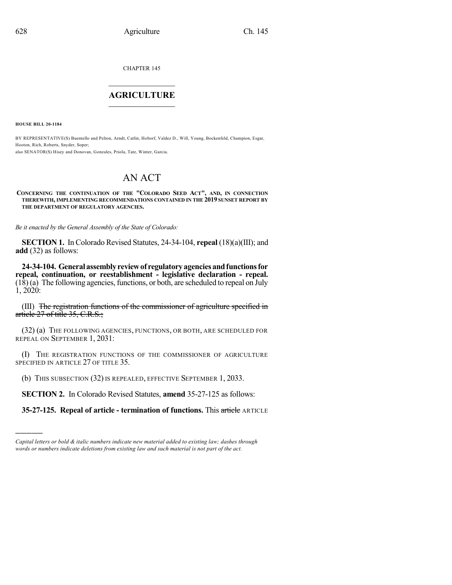CHAPTER 145

## $\mathcal{L}_\text{max}$  . The set of the set of the set of the set of the set of the set of the set of the set of the set of the set of the set of the set of the set of the set of the set of the set of the set of the set of the set **AGRICULTURE**  $\_$   $\_$   $\_$   $\_$   $\_$   $\_$   $\_$   $\_$

**HOUSE BILL 20-1184**

)))))

BY REPRESENTATIVE(S) Buentello and Pelton, Arndt, Catlin, Holtorf, Valdez D., Will, Young, Bockenfeld, Champion, Esgar, Hooton, Rich, Roberts, Snyder, Soper; also SENATOR(S) Hisey and Donovan, Gonzales, Priola, Tate, Winter, Garcia.

## AN ACT

## **CONCERNING THE CONTINUATION OF THE "COLORADO SEED ACT", AND, IN CONNECTION THEREWITH, IMPLEMENTING RECOMMENDATIONS CONTAINED IN THE 2019 SUNSET REPORT BY THE DEPARTMENT OF REGULATORY AGENCIES.**

*Be it enacted by the General Assembly of the State of Colorado:*

**SECTION 1.** In Colorado Revised Statutes, 24-34-104, **repeal** (18)(a)(III); and **add** (32) as follows:

**24-34-104. Generalassemblyreviewof regulatoryagenciesandfunctionsfor repeal, continuation, or reestablishment - legislative declaration - repeal.** (18) (a) The following agencies, functions, or both, are scheduled to repeal on July 1, 2020:

(III) The registration functions of the commissioner of agriculture specified in article 27 of title 35, C.R.S.;

(32) (a) THE FOLLOWING AGENCIES, FUNCTIONS, OR BOTH, ARE SCHEDULED FOR REPEAL ON SEPTEMBER 1, 2031:

(I) THE REGISTRATION FUNCTIONS OF THE COMMISSIONER OF AGRICULTURE SPECIFIED IN ARTICLE 27 OF TITLE 35.

(b) THIS SUBSECTION (32) IS REPEALED, EFFECTIVE SEPTEMBER 1, 2033.

**SECTION 2.** In Colorado Revised Statutes, **amend** 35-27-125 as follows:

**35-27-125. Repeal of article - termination of functions.** This article ARTICLE

*Capital letters or bold & italic numbers indicate new material added to existing law; dashes through words or numbers indicate deletions from existing law and such material is not part of the act.*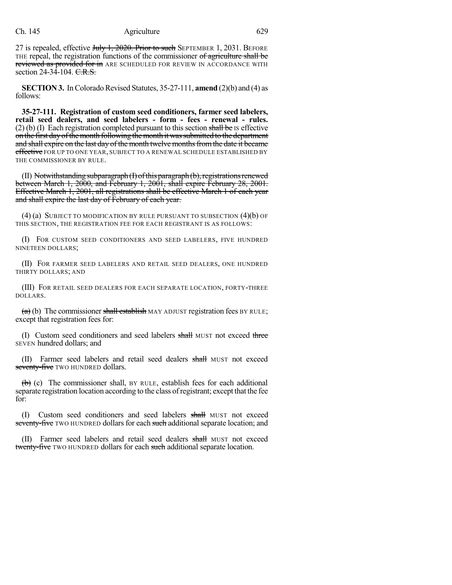## Ch. 145 Agriculture 629

27 is repealed, effective July 1, 2020. Prior to such SEPTEMBER 1, 2031. BEFORE THE repeal, the registration functions of the commissioner of agriculture shall be reviewed as provided for in ARE SCHEDULED FOR REVIEW IN ACCORDANCE WITH section  $24-34-104$ . C.R.S.

**SECTION 3.** In Colorado Revised Statutes,  $35-27-111$ , **amend** (2)(b) and (4) as follows:

**35-27-111. Registration of custom seed conditioners, farmer seed labelers, retail seed dealers, and seed labelers - form - fees - renewal - rules.**  $(2)$  (b) (I) Each registration completed pursuant to this section shall be IS effective on the first day of the month following the month it was submitted to the department and shall expire on the last day of the month twelve months from the date it became effective FOR UP TO ONE YEAR, SUBJECT TO A RENEWAL SCHEDULE ESTABLISHED BY THE COMMISSIONER BY RULE.

 $(II)$  Notwithstanding subparagraph $(I)$  of this paragraph $(b)$ , registrations renewed between March 1, 2000, and February 1, 2001, shall expire February 28, 2001. Effective March 1, 2001, all registrations shall be effective March 1 of each year and shall expire the last day of February of each year.

(4) (a) SUBJECT TO MODIFICATION BY RULE PURSUANT TO SUBSECTION (4)(b) OF THIS SECTION, THE REGISTRATION FEE FOR EACH REGISTRANT IS AS FOLLOWS:

(I) FOR CUSTOM SEED CONDITIONERS AND SEED LABELERS, FIVE HUNDRED NINETEEN DOLLARS;

(II) FOR FARMER SEED LABELERS AND RETAIL SEED DEALERS, ONE HUNDRED THIRTY DOLLARS; AND

(III) FOR RETAIL SEED DEALERS FOR EACH SEPARATE LOCATION, FORTY-THREE DOLLARS.

 $(a)$  (b) The commissioner shall establish MAY ADJUST registration fees BY RULE; except that registration fees for:

(I) Custom seed conditioners and seed labelers shall MUST not exceed three SEVEN hundred dollars; and

(II) Farmer seed labelers and retail seed dealers shall MUST not exceed seventy-five TWO HUNDRED dollars.

 $(b)$  (c) The commissioner shall, BY RULE, establish fees for each additional separate registration location according to the class ofregistrant; except that the fee for:

(I) Custom seed conditioners and seed labelers shall MUST not exceed seventy-five TWO HUNDRED dollars for each such additional separate location; and

(II) Farmer seed labelers and retail seed dealers shall MUST not exceed twenty-five TWO HUNDRED dollars for each such additional separate location.